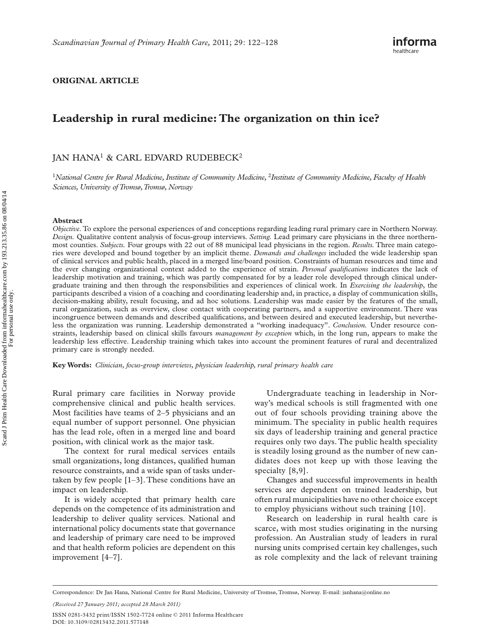# **ORIGINAL ARTICLE**

# **Leadership in rural medicine: The organization on thin ice?**

# IAN HANA<sup>1</sup> & CARL EDVARD RUDEBECK<sup>2</sup>

<sup>1</sup> National Centre for Rural Medicine, Institute of Community Medicine, <sup>2</sup>Institute of Community Medicine, Faculty of Health *Sciences, University of Tromsø, Tromsø, Norway* 

#### **Abstract**

*Objective.* To explore the personal experiences of and conceptions regarding leading rural primary care in Northern Norway. *Design.* Qualitative content analysis of focus-group interviews. *Setting.* Lead primary care physicians in the three northernmost counties. *Subjects.* Four groups with 22 out of 88 municipal lead physicians in the region. *Results.* Three main categories were developed and bound together by an implicit theme. *Demands and challenges* included the wide leadership span of clinical services and public health, placed in a merged line/board position. Constraints of human resources and time and the ever changing organizational context added to the experience of strain. *Personal qualifications* indicates the lack of leadership motivation and training, which was partly compensated for by a leader role developed through clinical undergraduate training and then through the responsibilities and experiences of clinical work. In *Exercising the leadership*, the participants described a vision of a coaching and coordinating leadership and, in practice, a display of communication skills, decision-making ability, result focusing, and ad hoc solutions. Leadership was made easier by the features of the small, rural organization, such as overview, close contact with cooperating partners, and a supportive environment. There was incongruence between demands and described qualifications, and between desired and executed leadership, but nevertheless the organization was running. Leadership demonstrated a "working inadequacy". Conclusion. Under resource constraints, leadership based on clinical skills favours *management by exception* which, in the long run, appears to make the leadership less effective. Leadership training which takes into account the prominent features of rural and decentralized primary care is strongly needed.

**Key Words:** *Clinician , focus-group interviews , physician leadership , rural primary health care* 

Rural primary care facilities in Norway provide comprehensive clinical and public health services. Most facilities have teams of  $2-5$  physicians and an equal number of support personnel. One physician has the lead role, often in a merged line and board position, with clinical work as the major task.

The context for rural medical services entails small organizations, long distances, qualified human resource constraints, and a wide span of tasks undertaken by few people  $[1-3]$ . These conditions have an impact on leadership.

It is widely accepted that primary health care depends on the competence of its administration and leadership to deliver quality services. National and international policy documents state that governance and leadership of primary care need to be improved and that health reform policies are dependent on this improvement  $[4-7]$ .

Undergraduate teaching in leadership in Norway's medical schools is still fragmented with one out of four schools providing training above the minimum. The speciality in public health requires six days of leadership training and general practice requires only two days. The public health speciality is steadily losing ground as the number of new candidates does not keep up with those leaving the specialty [8,9].

Changes and successful improvements in health services are dependent on trained leadership, but often rural municipalities have no other choice except to employ physicians without such training [10].

Research on leadership in rural health care is scarce, with most studies originating in the nursing profession. An Australian study of leaders in rural nursing units comprised certain key challenges, such as role complexity and the lack of relevant training

*(Received 27 January 2011 ; accepted 28 March 2011 )* 

ISSN 0281-3432 print/ISSN 1502-7724 online © 2011 Informa Healthcare DOI: 10.3109/02813432.2011.577148

Correspondence: Dr Jan Hana, National Centre for Rural Medicine, University of Tromsø, Tromsø, Norway. E-mail: janhana@online.no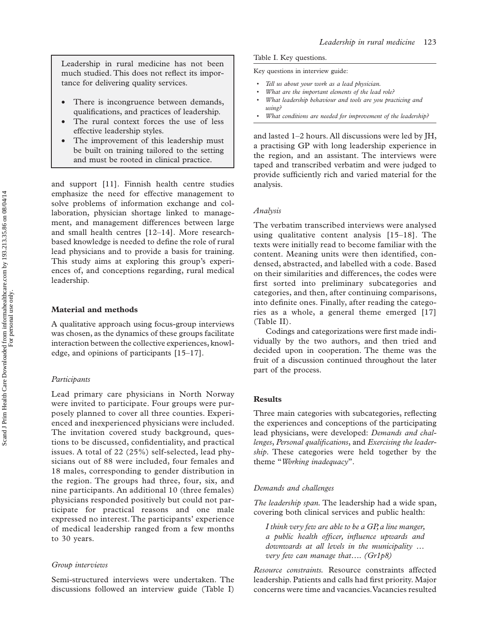Leadership in rural medicine has not been much studied. This does not reflect its importance for delivering quality services.

- There is incongruence between demands, qualifications, and practices of leadership.
- The rural context forces the use of less effective leadership styles.
- The improvement of this leadership must be built on training tailored to the setting and must be rooted in clinical practice.

and support [11]. Finnish health centre studies emphasize the need for effective management to solve problems of information exchange and collaboration, physician shortage linked to management, and management differences between large and small health centres  $[12-14]$ . More researchbased knowledge is needed to define the role of rural lead physicians and to provide a basis for training. This study aims at exploring this group's experiences of, and conceptions regarding, rural medical leadership.

### **Material and methods**

A qualitative approach using focus-group interviews was chosen, as the dynamics of these groups facilitate interaction between the collective experiences, knowledge, and opinions of participants  $[15-17]$ .

### *Participants*

Lead primary care physicians in North Norway were invited to participate. Four groups were purposely planned to cover all three counties. Experienced and inexperienced physicians were included. The invitation covered study background, questions to be discussed, confidentiality, and practical issues. A total of 22 (25%) self-selected, lead physicians out of 88 were included, four females and 18 males, corresponding to gender distribution in the region. The groups had three, four, six, and nine participants. An additional 10 (three females) physicians responded positively but could not participate for practical reasons and one male expressed no interest. The participants 'experience of medical leadership ranged from a few months to 30 years.

### *Group interviews*

Semi-structured interviews were undertaken. The discussions followed an interview guide (Table I)

#### Table I. Key questions.

Key questions in interview guide:

- *Tell us about your work as a lead physician.*
- *What are the important elements of the lead role?*
- *What leadership behaviour and tools are you practicing and using?*
- *What conditions are needed for improvement of the leadership?*

and lasted  $1-2$  hours. All discussions were led by JH, a practising GP with long leadership experience in the region, and an assistant. The interviews were taped and transcribed verbatim and were judged to provide sufficiently rich and varied material for the analysis.

## *Analysis*

The verbatim transcribed interviews were analysed using qualitative content analysis  $[15-18]$ . The texts were initially read to become familiar with the content. Meaning units were then identified, condensed, abstracted, and labelled with a code. Based on their similarities and differences, the codes were first sorted into preliminary subcategories and categories, and then, after continuing comparisons, into definite ones. Finally, after reading the categories as a whole, a general theme emerged [17] (Table II).

Codings and categorizations were first made individually by the two authors, and then tried and decided upon in cooperation. The theme was the fruit of a discussion continued throughout the later part of the process.

### **Results**

Three main categories with subcategories, reflecting the experiences and conceptions of the participating lead physicians, were developed: *Demands and chal*lenges, Personal qualifications, and *Exercising the leadership*. These categories were held together by the theme " *Working inadequacy*" .

### *Demands and challenges*

*The leadership span.* The leadership had a wide span, covering both clinical services and public health:

*I think very few are able to be a GP, a line manger, a public health offi cer, infl uence upwards and downwards at all levels in the municipality … very few can manage that....* (Gr1p8)

*Resource constraints.* Resource constraints affected leadership. Patients and calls had first priority. Major concerns were time and vacancies. Vacancies resulted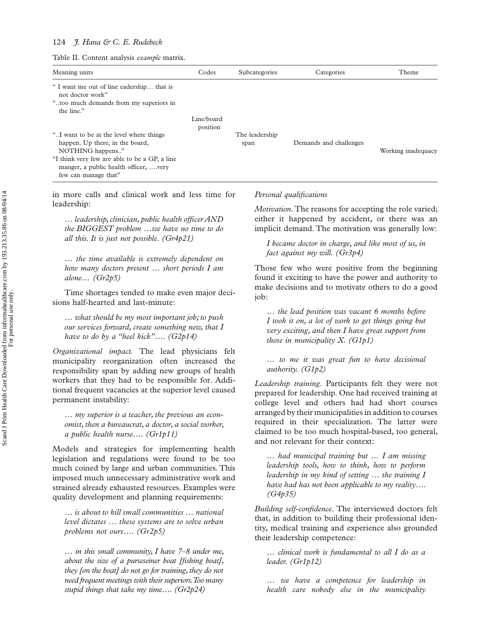### 124 *J. Hana & C. E. Rudebeck*

Table II. Content analysis *example* matrix.

| Meaning units                                                | Codes      | Subcategories  | Categories             | Theme              |
|--------------------------------------------------------------|------------|----------------|------------------------|--------------------|
| "I want me out of line eadership that is<br>not doctor work" |            |                |                        |                    |
| "too much demands from my superiors in                       |            |                |                        |                    |
| the line."                                                   |            |                |                        |                    |
|                                                              | Line/board |                |                        |                    |
|                                                              | position   |                |                        |                    |
| "I want to be at the level where things                      |            | The leadership |                        |                    |
| happen. Up there, in the board,                              |            | span           | Demands and challenges |                    |
| NOTHING happens"                                             |            |                |                        | Working inadequacy |
| "I think very few are able to be a GP, a line                |            |                |                        |                    |
| manger, a public health officer,  very                       |            |                |                        |                    |
| few can manage that"                                         |            |                |                        |                    |

in more calls and clinical work and less time for leadership:

*…leadership, clinician, public health offi cer AND the BIGGEST problem … we have no time to do all this. It is just not possible. (Gr4p21)* 

*…the time available is extremely dependent on how many doctors present …short periods I am alone …(Gr2p5)* 

Time shortages tended to make even major decisions half-hearted and last-minute:

*…what should be my most important job; to push our services forward, create something new, that I*  have to do by a "heel kick".... (G2p14)

*Organizational impact.* The lead physicians felt municipality reorganization often increased the responsibility span by adding new groups of health workers that they had to be responsible for. Additional frequent vacancies at the superior level caused permanent instability:

*…my superior is a teacher, the previous an economist, then a bureaucrat, a doctor, a social worker, a public health nurse … . (Gr1p11)* 

Models and strategies for implementing health legislation and regulations were found to be too much coined by large and urban communities. This imposed much unnecessary administrative work and strained already exhausted resources. Examples were quality development and planning requirements:

*…is about to kill small communities …national level dictates …these systems are to solve urban problems not ours … . (Gr2p5)* 

*…in this small community, I have 7 – 8 under me, about the size of a purseseiner boat [fishing boat], they [on the boat] do not go for training, they do not need frequent meetings with their superiors. Too many stupid things that take my time.... (Gr2p24)* 

### *Personal qualifi cations*

*Motivation.* The reasons for accepting the role varied; either it happened by accident, or there was an implicit demand. The motivation was generally low:

*I became doctor in charge, and like most of us, in fact against my will. (Gr3p4)* 

Those few who were positive from the beginning found it exciting to have the power and authority to make decisions and to motivate others to do a good job:

*…the lead position was vacant 6 months before I took it on, a lot of work to get things going but very exciting, and then I have great support from those in municipality X. (G1p1)* 

*…to me it was great fun to have decisional authority. (G1p2)* 

*Leadership training.* Participants felt they were not prepared for leadership. One had received training at college level and others had had short courses arranged by their municipalities in addition to courses required in their specialization. The latter were claimed to be too much hospital-based, too general, and not relevant for their context:

*…had municipal training but …I am missing leadership tools, how to think, how to perform leadership in my kind of setting ... the training I have had has not been applicable to my reality.... (G4p35)* 

*Building self-confidence*. The interviewed doctors felt that, in addition to building their professional identity, medical training and experience also grounded their leadership competence:

*…clinical work is fundamental to all I do as a leader. (Gr1p12)* 

*…we have a competence for leadership in health care nobody else in the municipality*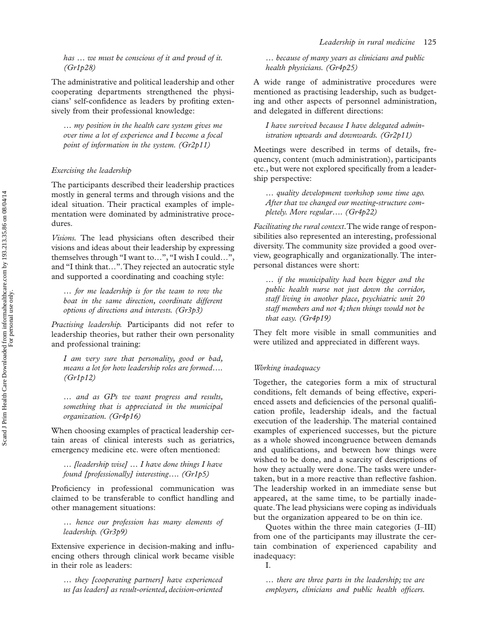*has …we must be conscious of it and proud of it. (Gr1p28)* 

The administrative and political leadership and other cooperating departments strengthened the physicians' self-confidence as leaders by profiting extensively from their professional knowledge:

*…my position in the health care system gives me over time a lot of experience and I become a focal point of information in the system. (Gr2p11)* 

# *Exercising the leadership*

The participants described their leadership practices mostly in general terms and through visions and the ideal situation. Their practical examples of implementation were dominated by administrative procedures.

*Visions.* The lead physicians often described their visions and ideas about their leadership by expressing themselves through "I want to...", "I wish I could...", and "I think that ...". They rejected an autocratic style and supported a coordinating and coaching style:

*…for me leadership is for the team to row the boat in the same direction, coordinate different options of directions and interests. (Gr3p3)* 

*Practising leadership.* Participants did not refer to leadership theories, but rather their own personality and professional training:

*I am very sure that personality, good or bad, means a lot for how leadership roles are formed.... (Gr1p12)* 

*…and as GPs we want progress and results, something that is appreciated in the municipal organization. (Gr4p16)* 

When choosing examples of practical leadership certain areas of clinical interests such as geriatrics, emergency medicine etc. were often mentioned:

*…[leadership wise] …I have done things I have found [professionally] interesting … . (Gr1p5)* 

Proficiency in professional communication was claimed to be transferable to conflict handling and other management situations:

*…hence our profession has many elements of leadership. (Gr3p9)* 

Extensive experience in decision-making and influencing others through clinical work became visible in their role as leaders:

*…they [cooperating partners] have experienced us [as leaders] as result-oriented, decision-oriented* 

*…because of many years as clinicians and public health physicians. (Gr4p25)* 

A wide range of administrative procedures were mentioned as practising leadership, such as budgeting and other aspects of personnel administration, and delegated in different directions:

*I have survived because I have delegated administration upwards and downwards. (Gr2p11)* 

Meetings were described in terms of details, frequency, content (much administration), participants etc., but were not explored specifically from a leadership perspective:

*…quality development workshop some time ago. After that we changed our meeting-structure completely. More regular … . (Gr4p22)* 

*Facilitating the rural context*. The wide range of responsibilities also represented an interesting, professional diversity. The community size provided a good overview, geographically and organizationally. The interpersonal distances were short:

*…if the municipality had been bigger and the public health nurse not just down the corridor, staff living in another place, psychiatric unit 20 staff members and not 4; then things would not be that easy. (Gr4p19)* 

They felt more visible in small communities and were utilized and appreciated in different ways.

# *Working inadequacy*

Together, the categories form a mix of structural conditions, felt demands of being effective, experienced assets and deficiencies of the personal qualification profile, leadership ideals, and the factual execution of the leadership. The material contained examples of experienced successes, but the picture as a whole showed incongruence between demands and qualifications, and between how things were wished to be done, and a scarcity of descriptions of how they actually were done. The tasks were undertaken, but in a more reactive than reflective fashion. The leadership worked in an immediate sense but appeared, at the same time, to be partially inadequate. The lead physicians were coping as individuals but the organization appeared to be on thin ice.

Quotes within the three main categories (I–III) from one of the participants may illustrate the certain combination of experienced capability and inadequacy:

I.

*…there are three parts in the leadership; we are employers, clinicians and public health officers.*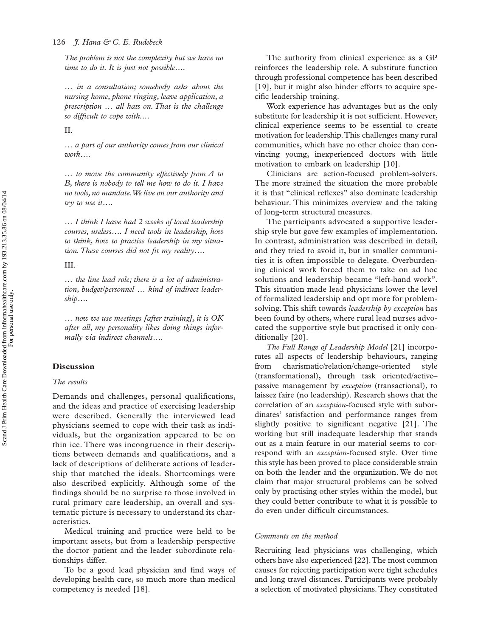## 126 *J. Hana & C. E. Rudebeck*

*The problem is not the complexity but we have no time to do it. It is just not possible … .* 

*…in a consultation; somebody asks about the nursing home, phone ringing, leave application, a prescription …all hats on. That is the challenge so difficult to cope with....* 

II.

*…a part of our authority comes from our clinical work … .* 

*…to move the community effectively from A to B, there is nobody to tell me how to do it. I have no tools, no mandate. We live on our authority and try to use it … .* 

*…I think I have had 2 weeks of local leadership courses, useless … . I need tools in leadership, how to think, how to practise leadership in my situation. These courses did not fit my reality....* 

### III.

*…the line lead role; there is a lot of administration, budget/personnel …kind of indirect leadership … .* 

*…now we use meetings [after training], it is OK after all, my personality likes doing things informally via indirect channels … .* 

### **Discussion**

### *The results*

Demands and challenges, personal qualifications, and the ideas and practice of exercising leadership were described. Generally the interviewed lead physicians seemed to cope with their task as individuals, but the organization appeared to be on thin ice. There was incongruence in their descriptions between demands and qualifications, and a lack of descriptions of deliberate actions of leadership that matched the ideals. Shortcomings were also described explicitly. Although some of the findings should be no surprise to those involved in rural primary care leadership, an overall and systematic picture is necessary to understand its characteristics.

Medical training and practice were held to be important assets, but from a leadership perspective the doctor-patient and the leader-subordinate relationships differ.

To be a good lead physician and find ways of developing health care, so much more than medical competency is needed [18].

The authority from clinical experience as a GP reinforces the leadership role. A substitute function through professional competence has been described [19], but it might also hinder efforts to acquire specific leadership training.

Work experience has advantages but as the only substitute for leadership it is not sufficient. However, clinical experience seems to be essential to create motivation for leadership. This challenges many rural communities, which have no other choice than convincing young, inexperienced doctors with little motivation to embark on leadership [10].

Clinicians are action-focused problem-solvers. The more strained the situation the more probable it is that "clinical reflexes" also dominate leadership behaviour. This minimizes overview and the taking of long-term structural measures.

The participants advocated a supportive leadership style but gave few examples of implementation. In contrast, administration was described in detail, and they tried to avoid it, but in smaller communities it is often impossible to delegate. Overburdening clinical work forced them to take on ad hoc solutions and leadership became "left-hand work". This situation made lead physicians lower the level of formalized leadership and opt more for problemsolving. This shift towards *leadership by exception* has been found by others, where rural lead nurses advocated the supportive style but practised it only conditionally [20].

*The Full Range of Leadership Model* [21] incorporates all aspects of leadership behaviours, ranging from charismatic/relation/change-oriented style (transformational), through task oriented/active – passive management by *exception* (transactional), to laissez faire (no leadership). Research shows that the correlation of an *exception*-focused style with subordinates' satisfaction and performance ranges from slightly positive to significant negative  $[21]$ . The working but still inadequate leadership that stands out as a main feature in our material seems to correspond with an *exception*-focused style. Over time this style has been proved to place considerable strain on both the leader and the organization. We do not claim that major structural problems can be solved only by practising other styles within the model, but they could better contribute to what it is possible to do even under difficult circumstances.

### *Comments on the method*

Recruiting lead physicians was challenging, which others have also experienced [22]. The most common causes for rejecting participation were tight schedules and long travel distances. Participants were probably a selection of motivated physicians. They constituted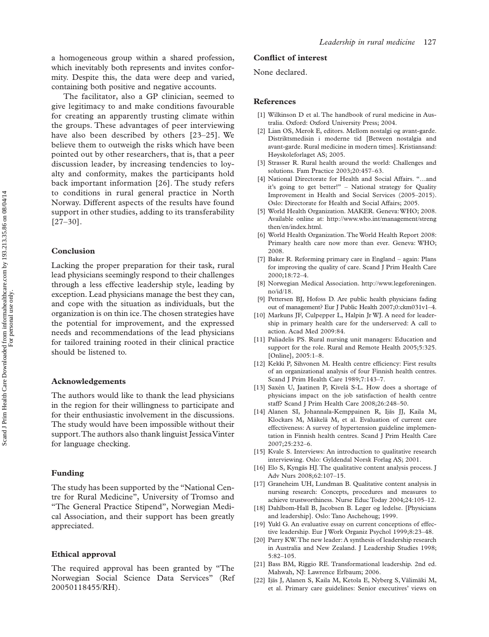a homogeneous group within a shared profession, which inevitably both represents and invites conformity. Despite this, the data were deep and varied, containing both positive and negative accounts.

The facilitator, also a GP clinician, seemed to give legitimacy to and make conditions favourable for creating an apparently trusting climate within the groups. These advantages of peer interviewing have also been described by others  $[23-25]$ . We believe them to outweigh the risks which have been pointed out by other researchers, that is, that a peer discussion leader, by increasing tendencies to loyalty and conformity, makes the participants hold back important information [26]. The study refers to conditions in rural general practice in North Norway. Different aspects of the results have found support in other studies, adding to its transferability  $[27 - 30]$ .

### **Conclusion**

Lacking the proper preparation for their task, rural lead physicians seemingly respond to their challenges through a less effective leadership style, leading by exception. Lead physicians manage the best they can, and cope with the situation as individuals, but the organization is on thin ice. The chosen strategies have the potential for improvement, and the expressed needs and recommendations of the lead physicians for tailored training rooted in their clinical practice should be listened to.

### **Acknowledgements**

The authors would like to thank the lead physicians in the region for their willingness to participate and for their enthusiastic involvement in the discussions. The study would have been impossible without their support. The authors also thank linguist Jessica Vinter for language checking.

### **Funding**

The study has been supported by the "National Centre for Rural Medicine", University of Tromso and "The General Practice Stipend", Norwegian Medical Association, and their support has been greatly appreciated.

### **Ethical approval**

The required approval has been granted by "The Norwegian Social Science Data Services" (Ref 20050118455/RH).

# **Conflict of interest**

None declared.

#### **References**

- [1] Wilkinson D et al. The handbook of rural medicine in Australia. Oxford: Oxford University Press; 2004.
- [2] Lian OS, Merok E, editors. Mellom nostalgi og avant-garde. Distriktsmedisin i moderne tid [Between nostalgia and avant-garde. Rural medicine in modern times]. Kristiansand: Høyskoleforlaget AS; 2005.
- [3] Strasser R. Rural health around the world: Challenges and solutions. Fam Practice 2003;20:457-63.
- [4] National Directorate for Health and Social Affairs. "...and it's going to get better!" - National strategy for Quality Improvement in Health and Social Services (2005-2015). Oslo: Directorate for Health and Social Affairs; 2005.
- [5] World Health Organization. MAKER. Geneva: WHO; 2008. Available online at: http://www.who.int/management/streng then/en/index.html.
- [6] World Health Organization. The World Health Report 2008: Primary health care now more than ever. Geneva: WHO; 2008.
- [7] Baker R. Reforming primary care in England again: Plans for improving the quality of care. Scand J Prim Health Care 2000;18:72-4.
- [8] Norwegian Medical Association. http://www.legeforeningen. no/id/18.
- [9] Pettersen BJ, Hofoss D. Are public health physicians fading out of management? Eur J Public Health 2007;0:ckm031v1-4.
- [10] Markuns JF, Culpepper L, Halpin Jr WJ. A need for leadership in primary health care for the underserved: A call to action. Acad Med 2009:84.
- [11] Paliadelis PS. Rural nursing unit managers: Education and support for the role. Rural and Remote Health 2005;5:325. [Online], 2005:1-8.
- [12] Kekki P, Sihvonen M. Health centre efficiency: First results of an organizational analysis of four Finnish health centres. Scand J Prim Health Care 1989;7:143-7.
- [13] Saxén U, Jaatinen P, Kivelä S-L. How does a shortage of physicians impact on the job satisfaction of health centre staff? Scand J Prim Health Care 2008;26:248-50.
- [14] Alanen SI, Johannala-Kemppainen R, Ijäs JJ, Kaila M, Klockars M, Mäkelä M, et al. Evaluation of current care effectiveness: A survey of hypertension guideline implementation in Finnish health centres. Scand J Prim Health Care 2007:25:232-6.
- [15] Kvale S. Interviews: An introduction to qualitative research interviewing. Oslo: Gyldendal Norsk Forlag AS; 2001.
- [16] Elo S, Kyngäs HJ. The qualitative content analysis process. J Adv Nurs 2008;62:107-15.
- [17] Graneheim UH, Lundman B. Qualitative content analysis in nursing research: Concepts, procedures and measures to achieve trustworthiness. Nurse Educ Today 2004;24:105-12.
- [18] Dahlbom-Hall B, Jacobsen B. Leger og ledelse. [Physicians and leadership]. Oslo: Tano Aschehoug; 1999.
- [19] Yukl G. An evaluative essay on current conceptions of effective leadership. Eur J Work Organiz Psychol 1999;8:23-48.
- [20] Parry KW. The new leader: A synthesis of leadership research in Australia and New Zealand. J Leadership Studies 1998;  $5:82 - 105.$
- [21] Bass BM, Riggio RE. Transformational leadership. 2nd ed. Mahwah, NJ: Lawrence Erlbaum; 2006.
- [22] Ijäs J, Alanen S, Kaila M, Ketola E, Nyberg S, Välimäki M, et al. Primary care guidelines: Senior executives' views on